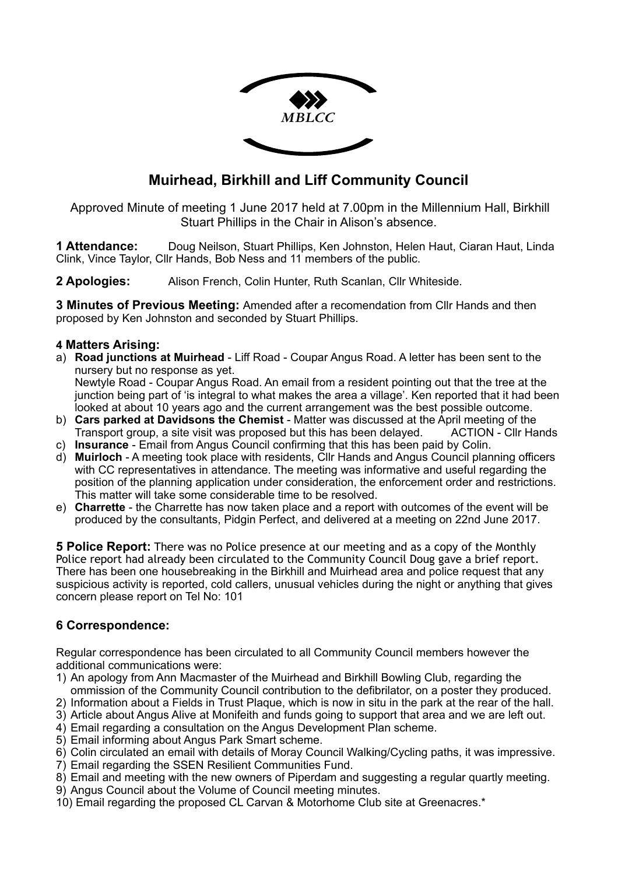

# **Muirhead, Birkhill and Liff Community Council**

 Approved Minute of meeting 1 June 2017 held at 7.00pm in the Millennium Hall, Birkhill Stuart Phillips in the Chair in Alison's absence.

**1 Attendance:** Doug Neilson, Stuart Phillips, Ken Johnston, Helen Haut, Ciaran Haut, Linda Clink, Vince Taylor, Cllr Hands, Bob Ness and 11 members of the public.

**2 Apologies:** Alison French, Colin Hunter, Ruth Scanlan, Cllr Whiteside.

**3 Minutes of Previous Meeting:** Amended after a recomendation from Cllr Hands and then proposed by Ken Johnston and seconded by Stuart Phillips.

## **4 Matters Arising:**

a) **Road junctions at Muirhead** - Liff Road - Coupar Angus Road. A letter has been sent to the nursery but no response as yet. Newtyle Road - Coupar Angus Road. An email from a resident pointing out that the tree at the

junction being part of 'is integral to what makes the area a village'. Ken reported that it had been looked at about 10 years ago and the current arrangement was the best possible outcome.

- b) **Cars parked at Davidsons the Chemist** Matter was discussed at the April meeting of the Transport group, a site visit was proposed but this has been delayed. ACTION - Cllr Hands
- c) **Insurance** Email from Angus Council confirming that this has been paid by Colin.
- d) **Muirloch** A meeting took place with residents, Cllr Hands and Angus Council planning officers with CC representatives in attendance. The meeting was informative and useful regarding the position of the planning application under consideration, the enforcement order and restrictions. This matter will take some considerable time to be resolved.
- e) **Charrette** the Charrette has now taken place and a report with outcomes of the event will be produced by the consultants, Pidgin Perfect, and delivered at a meeting on 22nd June 2017.

**5 Police Report:** There was no Police presence at our meeting and as a copy of the Monthly Police report had already been circulated to the Community Council Doug gave a brief report. There has been one housebreaking in the Birkhill and Muirhead area and police request that any suspicious activity is reported, cold callers, unusual vehicles during the night or anything that gives concern please report on Tel No: 101

# **6 Correspondence:**

Regular correspondence has been circulated to all Community Council members however the additional communications were:

- 1) An apology from Ann Macmaster of the Muirhead and Birkhill Bowling Club, regarding the ommission of the Community Council contribution to the defibrilator, on a poster they produced.
- 2) Information about a Fields in Trust Plaque, which is now in situ in the park at the rear of the hall.
- 3) Article about Angus Alive at Monifeith and funds going to support that area and we are left out.
- 4) Email regarding a consultation on the Angus Development Plan scheme.
- 5) Email informing about Angus Park Smart scheme.
- 6) Colin circulated an email with details of Moray Council Walking/Cycling paths, it was impressive.
- 7) Email regarding the SSEN Resilient Communities Fund.
- 8) Email and meeting with the new owners of Piperdam and suggesting a regular quartly meeting.
- 9) Angus Council about the Volume of Council meeting minutes.
- 10) Email regarding the proposed CL Carvan & Motorhome Club site at Greenacres.\*